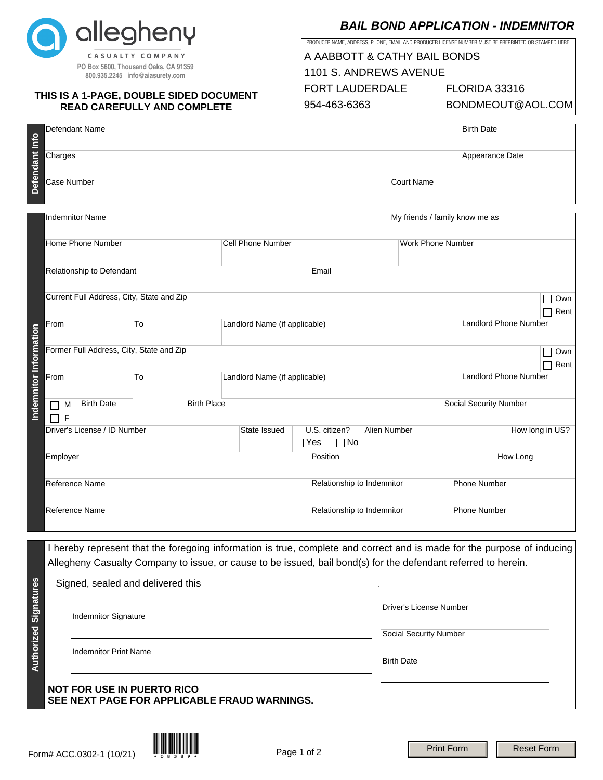

# **THIS IS A 1-PAGE, DOUBLE SIDED DOCUMENT READ CAREFULLY AND COMPLETE**

# **BAIL BOND APPLICATION - INDEMNITOR**

PRODUCER NAME, ADDRESS, PHONE, EMAIL AND PRODUCER LICENSE NUMBER MUST BE PREPRINTED OR STAMPED HERE:

| CASUALTY COMPANY<br>PO Box 5600, Thousand Oaks, CA 91359<br>800.935.2245 info@aiasurety.com<br>THIS IS A 1-PAGE, DOUBLE SIDED DOCUMENT<br><b>READ CAREFULLY AND COMPLETE</b> |                                                                                                                                                                                                                                                                                |                                          |    |                               |                                                     |            | A AABBOTT & CATHY BAIL BONDS<br>1101 S. ANDREWS AVENUE<br><b>FORT LAUDERDALE</b><br>954-463-6363 |                            |                                                          |                              | FLORIDA 33316<br>BONDMEOUT@AOL.COM |                     |                   |             |  |
|------------------------------------------------------------------------------------------------------------------------------------------------------------------------------|--------------------------------------------------------------------------------------------------------------------------------------------------------------------------------------------------------------------------------------------------------------------------------|------------------------------------------|----|-------------------------------|-----------------------------------------------------|------------|--------------------------------------------------------------------------------------------------|----------------------------|----------------------------------------------------------|------------------------------|------------------------------------|---------------------|-------------------|-------------|--|
|                                                                                                                                                                              |                                                                                                                                                                                                                                                                                | Defendant Name                           |    |                               |                                                     |            |                                                                                                  | <b>Birth Date</b>          |                                                          |                              |                                    |                     |                   |             |  |
| Defendant Info                                                                                                                                                               | Charges                                                                                                                                                                                                                                                                        |                                          |    |                               |                                                     |            |                                                                                                  |                            |                                                          |                              |                                    | Appearance Date     |                   |             |  |
|                                                                                                                                                                              | Case Number                                                                                                                                                                                                                                                                    |                                          |    |                               |                                                     |            |                                                                                                  | <b>Court Name</b>          |                                                          |                              |                                    |                     |                   |             |  |
|                                                                                                                                                                              | <b>Indemnitor Name</b>                                                                                                                                                                                                                                                         |                                          |    |                               |                                                     |            |                                                                                                  |                            | My friends / family know me as                           |                              |                                    |                     |                   |             |  |
|                                                                                                                                                                              | Home Phone Number                                                                                                                                                                                                                                                              |                                          |    |                               | <b>Cell Phone Number</b>                            |            |                                                                                                  |                            | <b>Work Phone Number</b>                                 |                              |                                    |                     |                   |             |  |
|                                                                                                                                                                              | Relationship to Defendant                                                                                                                                                                                                                                                      |                                          |    |                               | Email                                               |            |                                                                                                  |                            |                                                          |                              |                                    |                     |                   |             |  |
| Indemnitor Information                                                                                                                                                       | Current Full Address, City, State and Zip                                                                                                                                                                                                                                      |                                          |    |                               |                                                     |            |                                                                                                  |                            |                                                          |                              |                                    |                     |                   | Own         |  |
|                                                                                                                                                                              | From<br>To                                                                                                                                                                                                                                                                     |                                          |    | Landlord Name (if applicable) |                                                     |            |                                                                                                  |                            |                                                          | <b>Landlord Phone Number</b> |                                    | Rent                |                   |             |  |
|                                                                                                                                                                              |                                                                                                                                                                                                                                                                                | Former Full Address, City, State and Zip |    |                               |                                                     |            |                                                                                                  |                            |                                                          |                              |                                    |                     |                   | Own<br>Rent |  |
|                                                                                                                                                                              | From                                                                                                                                                                                                                                                                           |                                          | To |                               | Landlord Name (if applicable)                       |            |                                                                                                  |                            |                                                          |                              | <b>Landlord Phone Number</b>       |                     |                   |             |  |
|                                                                                                                                                                              | M<br>F<br>$\blacksquare$                                                                                                                                                                                                                                                       | <b>Birth Place</b><br><b>Birth Date</b>  |    |                               |                                                     |            |                                                                                                  |                            |                                                          |                              | Social Security Number             |                     |                   |             |  |
|                                                                                                                                                                              |                                                                                                                                                                                                                                                                                | Driver's License / ID Number             |    |                               | State Issued<br>U.S. citizen?<br>$\Box$ Yes<br>⊟ No |            |                                                                                                  | Alien Number               |                                                          |                              | How long in US?                    |                     |                   |             |  |
|                                                                                                                                                                              | Employer                                                                                                                                                                                                                                                                       |                                          |    |                               | Position                                            |            |                                                                                                  |                            | How Long                                                 |                              |                                    |                     |                   |             |  |
|                                                                                                                                                                              | Reference Name                                                                                                                                                                                                                                                                 |                                          |    |                               |                                                     |            | Relationship to Indemnitor                                                                       |                            |                                                          | <b>Phone Number</b>          |                                    |                     |                   |             |  |
|                                                                                                                                                                              | Reference Name                                                                                                                                                                                                                                                                 |                                          |    |                               |                                                     |            |                                                                                                  | Relationship to Indemnitor |                                                          |                              |                                    | <b>Phone Number</b> |                   |             |  |
|                                                                                                                                                                              | I hereby represent that the foregoing information is true, complete and correct and is made for the purpose of inducing<br>Allegheny Casualty Company to issue, or cause to be issued, bail bond(s) for the defendant referred to herein.<br>Signed, sealed and delivered this |                                          |    |                               |                                                     |            |                                                                                                  |                            |                                                          |                              |                                    |                     |                   |             |  |
| <b>Authorized Signatures</b>                                                                                                                                                 | Indemnitor Signature                                                                                                                                                                                                                                                           |                                          |    |                               |                                                     |            |                                                                                                  |                            | <b>Driver's License Number</b><br>Social Security Number |                              |                                    |                     |                   |             |  |
|                                                                                                                                                                              | <b>Indemnitor Print Name</b>                                                                                                                                                                                                                                                   |                                          |    |                               |                                                     |            |                                                                                                  |                            | <b>Birth Date</b>                                        |                              |                                    |                     |                   |             |  |
|                                                                                                                                                                              | <b>NOT FOR USE IN PUERTO RICO</b><br>SEE NEXT PAGE FOR APPLICABLE FRAUD WARNINGS.                                                                                                                                                                                              |                                          |    |                               |                                                     |            |                                                                                                  |                            |                                                          |                              |                                    |                     |                   |             |  |
|                                                                                                                                                                              |                                                                                                                                                                                                                                                                                |                                          |    |                               |                                                     | Dao 1 of 2 |                                                                                                  |                            |                                                          |                              | <b>Print Form</b>                  |                     | <b>Reset Form</b> |             |  |

## **NOT FOR USE IN PUERTO RICO SEE NEXT PAGE FOR APPLICABLE FRAUD WARNINGS.**